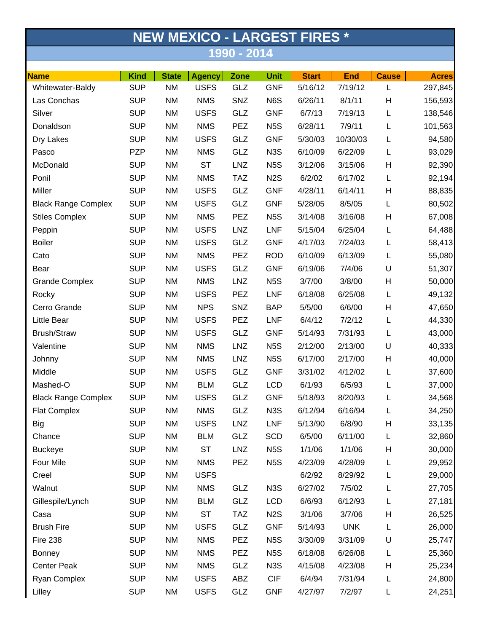| <b>NEW MEXICO - LARGEST FIRES *</b><br>1990 - 2014 |            |           |             |            |                  |         |            |   |         |  |
|----------------------------------------------------|------------|-----------|-------------|------------|------------------|---------|------------|---|---------|--|
|                                                    |            |           |             |            |                  |         |            |   |         |  |
| Whitewater-Baldy                                   | <b>SUP</b> | <b>NM</b> | <b>USFS</b> | GLZ        | <b>GNF</b>       | 5/16/12 | 7/19/12    | L | 297,845 |  |
| Las Conchas                                        | <b>SUP</b> | <b>NM</b> | <b>NMS</b>  | SNZ        | N6S              | 6/26/11 | 8/1/11     | Н | 156,593 |  |
| Silver                                             | <b>SUP</b> | <b>NM</b> | <b>USFS</b> | GLZ        | <b>GNF</b>       | 6/7/13  | 7/19/13    | Г | 138,546 |  |
| Donaldson                                          | <b>SUP</b> | <b>NM</b> | <b>NMS</b>  | PEZ        | N <sub>5</sub> S | 6/28/11 | 7/9/11     | L | 101,563 |  |
| Dry Lakes                                          | <b>SUP</b> | <b>NM</b> | <b>USFS</b> | GLZ        | <b>GNF</b>       | 5/30/03 | 10/30/03   | L | 94,580  |  |
| Pasco                                              | <b>PZP</b> | <b>NM</b> | <b>NMS</b>  | GLZ        | N <sub>3</sub> S | 6/10/09 | 6/22/09    | Г | 93,029  |  |
| McDonald                                           | <b>SUP</b> | <b>NM</b> | <b>ST</b>   | <b>LNZ</b> | N <sub>5</sub> S | 3/12/06 | 3/15/06    | Н | 92,390  |  |
| Ponil                                              | <b>SUP</b> | <b>NM</b> | <b>NMS</b>  | <b>TAZ</b> | N <sub>2</sub> S | 6/2/02  | 6/17/02    | L | 92,194  |  |
| Miller                                             | <b>SUP</b> | <b>NM</b> | <b>USFS</b> | GLZ        | <b>GNF</b>       | 4/28/11 | 6/14/11    | Н | 88,835  |  |
| <b>Black Range Complex</b>                         | <b>SUP</b> | <b>NM</b> | <b>USFS</b> | GLZ        | <b>GNF</b>       | 5/28/05 | 8/5/05     | L | 80,502  |  |
| <b>Stiles Complex</b>                              | <b>SUP</b> | <b>NM</b> | <b>NMS</b>  | PEZ        | N <sub>5</sub> S | 3/14/08 | 3/16/08    | Н | 67,008  |  |
| Peppin                                             | <b>SUP</b> | <b>NM</b> | <b>USFS</b> | <b>LNZ</b> | <b>LNF</b>       | 5/15/04 | 6/25/04    | L | 64,488  |  |
| <b>Boiler</b>                                      | <b>SUP</b> | <b>NM</b> | <b>USFS</b> | GLZ        | <b>GNF</b>       | 4/17/03 | 7/24/03    | L | 58,413  |  |
| Cato                                               | <b>SUP</b> | <b>NM</b> | <b>NMS</b>  | <b>PEZ</b> | <b>ROD</b>       | 6/10/09 | 6/13/09    | L | 55,080  |  |
| Bear                                               | <b>SUP</b> | <b>NM</b> | <b>USFS</b> | GLZ        | <b>GNF</b>       | 6/19/06 | 7/4/06     | U | 51,307  |  |
| <b>Grande Complex</b>                              | <b>SUP</b> | <b>NM</b> | <b>NMS</b>  | <b>LNZ</b> | N <sub>5</sub> S | 3/7/00  | 3/8/00     | Н | 50,000  |  |
| Rocky                                              | <b>SUP</b> | <b>NM</b> | <b>USFS</b> | PEZ        | LNF              | 6/18/08 | 6/25/08    | L | 49,132  |  |
| Cerro Grande                                       | <b>SUP</b> | <b>NM</b> | <b>NPS</b>  | SNZ        | <b>BAP</b>       | 5/5/00  | 6/6/00     | Н | 47,650  |  |
| Little Bear                                        | <b>SUP</b> | <b>NM</b> | <b>USFS</b> | PEZ        | <b>LNF</b>       | 6/4/12  | 7/2/12     | L | 44,330  |  |
| Brush/Straw                                        | <b>SUP</b> | <b>NM</b> | <b>USFS</b> | GLZ        | <b>GNF</b>       | 5/14/93 | 7/31/93    | L | 43,000  |  |
| Valentine                                          | <b>SUP</b> | <b>NM</b> | <b>NMS</b>  | <b>LNZ</b> | N <sub>5</sub> S | 2/12/00 | 2/13/00    | U | 40,333  |  |
| Johnny                                             | <b>SUP</b> | <b>NM</b> | <b>NMS</b>  | <b>LNZ</b> | N <sub>5</sub> S | 6/17/00 | 2/17/00    | Н | 40,000  |  |
| Middle                                             | <b>SUP</b> | <b>NM</b> | <b>USFS</b> | GLZ        | <b>GNF</b>       | 3/31/02 | 4/12/02    | L | 37,600  |  |
| Mashed-O                                           | <b>SUP</b> | <b>NM</b> | <b>BLM</b>  | GLZ        | <b>LCD</b>       | 6/1/93  | 6/5/93     | L | 37,000  |  |
| <b>Black Range Complex</b>                         | <b>SUP</b> | <b>NM</b> | <b>USFS</b> | GLZ        | <b>GNF</b>       | 5/18/93 | 8/20/93    | L | 34,568  |  |
| <b>Flat Complex</b>                                | <b>SUP</b> | <b>NM</b> | <b>NMS</b>  | GLZ        | N <sub>3</sub> S | 6/12/94 | 6/16/94    | L | 34,250  |  |
| <b>Big</b>                                         | <b>SUP</b> | <b>NM</b> | <b>USFS</b> | <b>LNZ</b> | <b>LNF</b>       | 5/13/90 | 6/8/90     | Н | 33,135  |  |
| Chance                                             | <b>SUP</b> | <b>NM</b> | <b>BLM</b>  | GLZ        | <b>SCD</b>       | 6/5/00  | 6/11/00    | L | 32,860  |  |
| <b>Buckeye</b>                                     | <b>SUP</b> | <b>NM</b> | <b>ST</b>   | <b>LNZ</b> | N <sub>5</sub> S | 1/1/06  | 1/1/06     | Н | 30,000  |  |
| Four Mile                                          | <b>SUP</b> | <b>NM</b> | <b>NMS</b>  | PEZ        | N <sub>5</sub> S | 4/23/09 | 4/28/09    | L | 29,952  |  |
| Creel                                              | <b>SUP</b> | <b>NM</b> | <b>USFS</b> |            |                  | 6/2/92  | 8/29/92    | L | 29,000  |  |
| Walnut                                             | <b>SUP</b> | <b>NM</b> | <b>NMS</b>  | GLZ        | N <sub>3</sub> S | 6/27/02 | 7/5/02     | L | 27,705  |  |
| Gillespile/Lynch                                   | <b>SUP</b> | <b>NM</b> | <b>BLM</b>  | GLZ        | <b>LCD</b>       | 6/6/93  | 6/12/93    | L | 27,181  |  |
| Casa                                               | <b>SUP</b> | <b>NM</b> | <b>ST</b>   | <b>TAZ</b> | N <sub>2</sub> S | 3/1/06  | 3/7/06     | Н | 26,525  |  |
| <b>Brush Fire</b>                                  | <b>SUP</b> | <b>NM</b> | <b>USFS</b> | GLZ        | <b>GNF</b>       | 5/14/93 | <b>UNK</b> | L | 26,000  |  |
| <b>Fire 238</b>                                    | <b>SUP</b> | <b>NM</b> | <b>NMS</b>  | <b>PEZ</b> | N <sub>5</sub> S | 3/30/09 | 3/31/09    | U | 25,747  |  |
| <b>Bonney</b>                                      | <b>SUP</b> | <b>NM</b> | <b>NMS</b>  | PEZ        | N <sub>5</sub> S | 6/18/08 | 6/26/08    | L | 25,360  |  |
| <b>Center Peak</b>                                 | <b>SUP</b> | <b>NM</b> | <b>NMS</b>  | GLZ        | N <sub>3</sub> S | 4/15/08 | 4/23/08    | Н | 25,234  |  |
| Ryan Complex                                       | <b>SUP</b> | <b>NM</b> | <b>USFS</b> | ABZ        | <b>CIF</b>       | 6/4/94  | 7/31/94    | L | 24,800  |  |
| Lilley                                             | <b>SUP</b> | <b>NM</b> | <b>USFS</b> | GLZ        | <b>GNF</b>       | 4/27/97 | 7/2/97     | L | 24,251  |  |